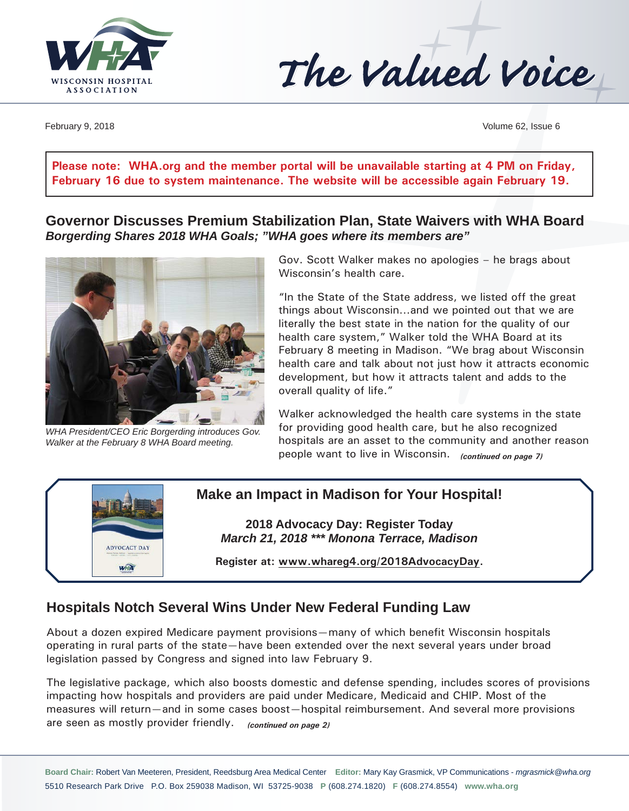

The Valued Voice

February 9, 2018 Volume 62, Issue 6

**Please note: [WHA.org](http://www.WHA.org) and the member portal will be unavailable starting at 4 PM on Friday, February 16 due to system maintenance. The website will be accessible again February 19.** 

**Governor Discusses Premium Stabilization Plan, State Waivers with WHA Board** *Borgerding Shares 2018 WHA Goals; "WHA goes where its members are"* 



*WHA President/CEO Eric Borgerding introduces Gov. Walker at the February 8 WHA Board meeting.* 

Gov. Scott Walker makes no apologies – he brags about Wisconsin's health care.

"In the State of the State address, we listed off the great things about Wisconsin…and we pointed out that we are literally the best state in the nation for the quality of our health care system," Walker told the WHA Board at its February 8 meeting in Madison. "We brag about Wisconsin health care and talk about not just how it attracts economic development, but how it attracts talent and adds to the overall quality of life."

Walker acknowledged the health care systems in the state for providing good health care, but he also recognized hospitals are an asset to the community and another reason people want to live in Wisconsin. *(continued on page 7)*



### **Make an Impact in Madison for Your Hospital!**

**2018 Advocacy Day: Register Today** *March 21, 2018 \*\*\* Monona Terrace, Madison*

**Register at: [www.whareg4.org/](http://www.whareg4.org/2018AdvocacyDay)2018AdvocacyDay.**

### **Hospitals Notch Several Wins Under New Federal Funding Law**

About a dozen expired Medicare payment provisions—many of which benefit Wisconsin hospitals operating in rural parts of the state—have been extended over the next several years under broad legislation passed by Congress and signed into law February 9.

The legislative package, which also boosts domestic and defense spending, includes scores of provisions impacting how hospitals and providers are paid under Medicare, Medicaid and CHIP. Most of the measures will return—and in some cases boost—hospital reimbursement. And several more provisions are seen as mostly provider friendly. *(continued on page 2)*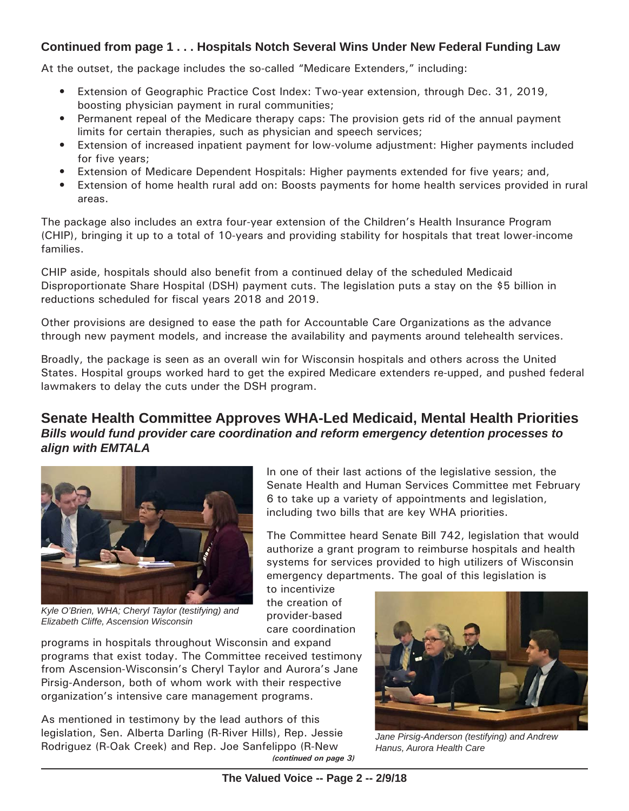### **Continued from page 1 . . . Hospitals Notch Several Wins Under New Federal Funding Law**

At the outset, the package includes the so-called "Medicare Extenders," including:

- Extension of Geographic Practice Cost Index: Two-year extension, through Dec. 31, 2019, boosting physician payment in rural communities;
- Permanent repeal of the Medicare therapy caps: The provision gets rid of the annual payment limits for certain therapies, such as physician and speech services;
- Extension of increased inpatient payment for low-volume adjustment: Higher payments included for five years;
- Extension of Medicare Dependent Hospitals: Higher payments extended for five years; and,
- Extension of home health rural add on: Boosts payments for home health services provided in rural areas.

The package also includes an extra four-year extension of the Children's Health Insurance Program (CHIP), bringing it up to a total of 10-years and providing stability for hospitals that treat lower-income families.

CHIP aside, hospitals should also benefit from a continued delay of the scheduled Medicaid Disproportionate Share Hospital (DSH) payment cuts. The legislation puts a stay on the \$5 billion in reductions scheduled for fiscal years 2018 and 2019.

Other provisions are designed to ease the path for Accountable Care Organizations as the advance through new payment models, and increase the availability and payments around telehealth services.

Broadly, the package is seen as an overall win for Wisconsin hospitals and others across the United States. Hospital groups worked hard to get the expired Medicare extenders re-upped, and pushed federal lawmakers to delay the cuts under the DSH program.

### **Senate Health Committee Approves WHA-Led Medicaid, Mental Health Priorities** *Bills would fund provider care coordination and reform emergency detention processes to align with EMTALA*



*Kyle O'Brien, WHA; Cheryl Taylor (testifying) and Elizabeth Cliffe, Ascension Wisconsin*

In one of their last actions of the legislative session, the Senate Health and Human Services Committee met February 6 to take up a variety of appointments and legislation, including two bills that are key WHA priorities.

The Committee heard Senate Bill 742, legislation that would authorize a grant program to reimburse hospitals and health systems for services provided to high utilizers of Wisconsin emergency departments. The goal of this legislation is

to incentivize the creation of provider-based care coordination

programs in hospitals throughout Wisconsin and expand programs that exist today. The Committee received testimony from Ascension-Wisconsin's Cheryl Taylor and Aurora's Jane Pirsig-Anderson, both of whom work with their respective organization's intensive care management programs.

As mentioned in testimony by the lead authors of this legislation, Sen. Alberta Darling (R-River Hills), Rep. Jessie Rodriguez (R-Oak Creek) and Rep. Joe Sanfelippo (R-New *(continued on page 3)*



*Jane Pirsig-Anderson (testifying) and Andrew Hanus, Aurora Health Care*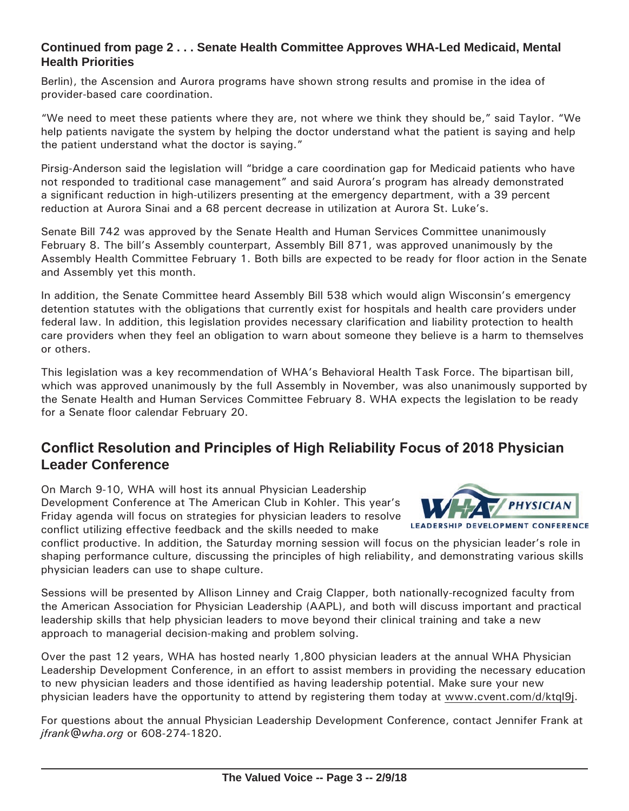### **Continued from page 2 . . . Senate Health Committee Approves WHA-Led Medicaid, Mental Health Priorities**

Berlin), the Ascension and Aurora programs have shown strong results and promise in the idea of provider-based care coordination.

"We need to meet these patients where they are, not where we think they should be," said Taylor. "We help patients navigate the system by helping the doctor understand what the patient is saying and help the patient understand what the doctor is saying."

Pirsig-Anderson said the legislation will "bridge a care coordination gap for Medicaid patients who have not responded to traditional case management" and said Aurora's program has already demonstrated a significant reduction in high-utilizers presenting at the emergency department, with a 39 percent reduction at Aurora Sinai and a 68 percent decrease in utilization at Aurora St. Luke's.

Senate Bill 742 was approved by the Senate Health and Human Services Committee unanimously February 8. The bill's Assembly counterpart, Assembly Bill 871, was approved unanimously by the Assembly Health Committee February 1. Both bills are expected to be ready for floor action in the Senate and Assembly yet this month.

In addition, the Senate Committee heard Assembly Bill 538 which would align Wisconsin's emergency detention statutes with the obligations that currently exist for hospitals and health care providers under federal law. In addition, this legislation provides necessary clarification and liability protection to health care providers when they feel an obligation to warn about someone they believe is a harm to themselves or others.

This legislation was a key recommendation of WHA's Behavioral Health Task Force. The bipartisan bill, which was approved unanimously by the full Assembly in November, was also unanimously supported by the Senate Health and Human Services Committee February 8. WHA expects the legislation to be ready for a Senate floor calendar February 20.

## **Conflict Resolution and Principles of High Reliability Focus of 2018 Physician Leader Conference**

On March 9-10, WHA will host its annual Physician Leadership Development Conference at The American Club in Kohler. This year's Friday agenda will focus on strategies for physician leaders to resolve conflict utilizing effective feedback and the skills needed to make



**LEADERSHIP DEVELOPMENT CONFERENCE** 

conflict productive. In addition, the Saturday morning session will focus on the physician leader's role in shaping performance culture, discussing the principles of high reliability, and demonstrating various skills physician leaders can use to shape culture.

Sessions will be presented by Allison Linney and Craig Clapper, both nationally-recognized faculty from the American Association for Physician Leadership (AAPL), and both will discuss important and practical leadership skills that help physician leaders to move beyond their clinical training and take a new approach to managerial decision-making and problem solving.

Over the past 12 years, WHA has hosted nearly 1,800 physician leaders at the annual WHA Physician Leadership Development Conference, in an effort to assist members in providing the necessary education to new physician leaders and those identified as having leadership potential. Make sure your new physician leaders have the opportunity to attend by registering them today at [www.cvent.com/d/ktql](http://www.cvent.com/d/ktql9j)9j.

For questions about the annual Physician Leadership Development Conference, contact Jennifer Frank at *[jfrank@wha.org](mailto:jfrank@wha.org)* or 608-274-1820.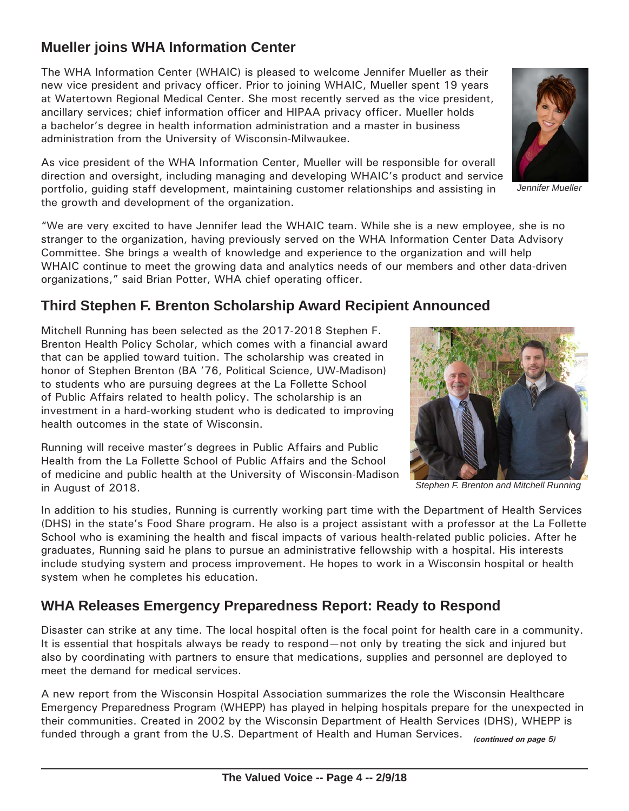## **Mueller joins WHA Information Center**

The WHA Information Center (WHAIC) is pleased to welcome Jennifer Mueller as their new vice president and privacy officer. Prior to joining WHAIC, Mueller spent 19 years at Watertown Regional Medical Center. She most recently served as the vice president, ancillary services; chief information officer and HIPAA privacy officer. Mueller holds a bachelor's degree in health information administration and a master in business administration from the University of Wisconsin-Milwaukee.

As vice president of the WHA Information Center, Mueller will be responsible for overall direction and oversight, including managing and developing WHAIC's product and service portfolio, guiding staff development, maintaining customer relationships and assisting in the growth and development of the organization.

"We are very excited to have Jennifer lead the WHAIC team. While she is a new employee, she is no stranger to the organization, having previously served on the WHA Information Center Data Advisory Committee. She brings a wealth of knowledge and experience to the organization and will help WHAIC continue to meet the growing data and analytics needs of our members and other data-driven organizations," said Brian Potter, WHA chief operating officer.

## **Third Stephen F. Brenton Scholarship Award Recipient Announced**

Mitchell Running has been selected as the 2017-2018 Stephen F. Brenton Health Policy Scholar, which comes with a financial award that can be applied toward tuition. The scholarship was created in honor of Stephen Brenton (BA '76, Political Science, UW-Madison) to students who are pursuing degrees at the La Follette School of Public Affairs related to health policy. The scholarship is an investment in a hard-working student who is dedicated to improving health outcomes in the state of Wisconsin.

Running will receive master's degrees in Public Affairs and Public Health from the La Follette School of Public Affairs and the School of medicine and public health at the University of Wisconsin-Madison in August of 2018.

In addition to his studies, Running is currently working part time with the Department of Health Services (DHS) in the state's Food Share program. He also is a project assistant with a professor at the La Follette School who is examining the health and fiscal impacts of various health-related public policies. After he graduates, Running said he plans to pursue an administrative fellowship with a hospital. His interests include studying system and process improvement. He hopes to work in a Wisconsin hospital or health system when he completes his education.

## **WHA Releases Emergency Preparedness Report: Ready to Respond**

Disaster can strike at any time. The local hospital often is the focal point for health care in a community. It is essential that hospitals always be ready to respond—not only by treating the sick and injured but also by coordinating with partners to ensure that medications, supplies and personnel are deployed to meet the demand for medical services.

A new report from the Wisconsin Hospital Association summarizes the role the Wisconsin Healthcare Emergency Preparedness Program (WHEPP) has played in helping hospitals prepare for the unexpected in their communities. Created in 2002 by the Wisconsin Department of Health Services (DHS), WHEPP is funded through a grant from the U.S. Department of Health and Human Services. *(continued on page 5)*

*Jennifer Mueller*

*Stephen F. Brenton and Mitchell Running*

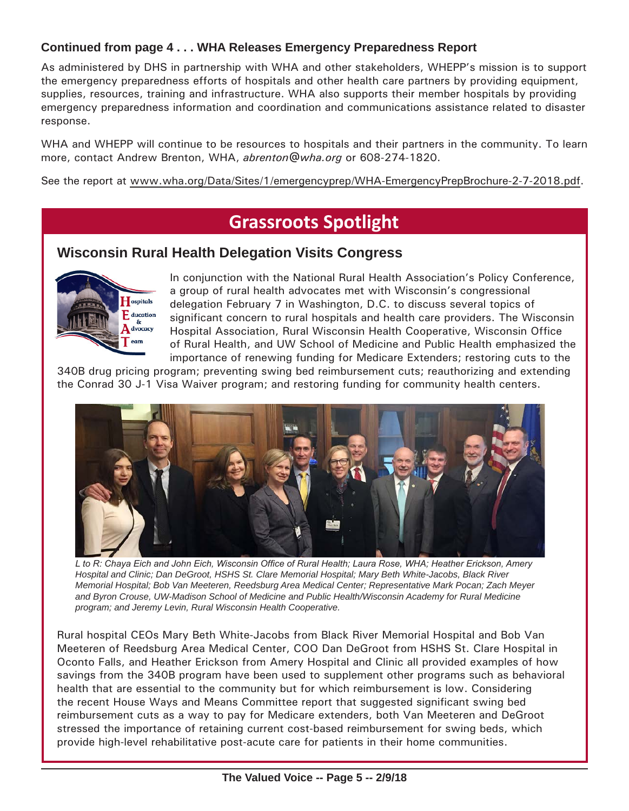### **Continued from page 4 . . . WHA Releases Emergency Preparedness Report**

As administered by DHS in partnership with WHA and other stakeholders, WHEPP's mission is to support the emergency preparedness efforts of hospitals and other health care partners by providing equipment, supplies, resources, training and infrastructure. WHA also supports their member hospitals by providing emergency preparedness information and coordination and communications assistance related to disaster response.

WHA and WHEPP will continue to be resources to hospitals and their partners in the community. To learn more, contact Andrew Brenton, WHA, *[abrenton@wha.org](mailto:abrenton@wha.org)* or 608-274-1820.

See the report at [www.wha.org/Data/Sites/1/emergencyprep/WHA-EmergencyPrepBrochure-2-7-2018.pdf.](http://www.wha.org/Data/Sites/1/emergencyprep/WHA-EmergencyPrepBrochure-2-7-2018.pdf)

# **Grassroots Spotlight**

### **Wisconsin Rural Health Delegation Visits Congress**



In conjunction with the National Rural Health Association's Policy Conference, a group of rural health advocates met with Wisconsin's congressional delegation February 7 in Washington, D.C. to discuss several topics of significant concern to rural hospitals and health care providers. The Wisconsin Hospital Association, Rural Wisconsin Health Cooperative, Wisconsin Office of Rural Health, and UW School of Medicine and Public Health emphasized the importance of renewing funding for Medicare Extenders; restoring cuts to the

340B drug pricing program; preventing swing bed reimbursement cuts; reauthorizing and extending the Conrad 30 J-1 Visa Waiver program; and restoring funding for community health centers.



*L to R: Chaya Eich and John Eich, Wisconsin Office of Rural Health; Laura Rose, WHA; Heather Erickson, Amery Hospital and Clinic; Dan DeGroot, HSHS St. Clare Memorial Hospital; Mary Beth White-Jacobs, Black River Memorial Hospital; Bob Van Meeteren, Reedsburg Area Medical Center; Representative Mark Pocan; Zach Meyer and Byron Crouse, UW-Madison School of Medicine and Public Health/Wisconsin Academy for Rural Medicine program; and Jeremy Levin, Rural Wisconsin Health Cooperative.*

Rural hospital CEOs Mary Beth White-Jacobs from Black River Memorial Hospital and Bob Van Meeteren of Reedsburg Area Medical Center, COO Dan DeGroot from HSHS St. Clare Hospital in Oconto Falls, and Heather Erickson from Amery Hospital and Clinic all provided examples of how savings from the 340B program have been used to supplement other programs such as behavioral health that are essential to the community but for which reimbursement is low. Considering the recent House Ways and Means Committee report that suggested significant swing bed reimbursement cuts as a way to pay for Medicare extenders, both Van Meeteren and DeGroot stressed the importance of retaining current cost-based reimbursement for swing beds, which provide high-level rehabilitative post-acute care for patients in their home communities.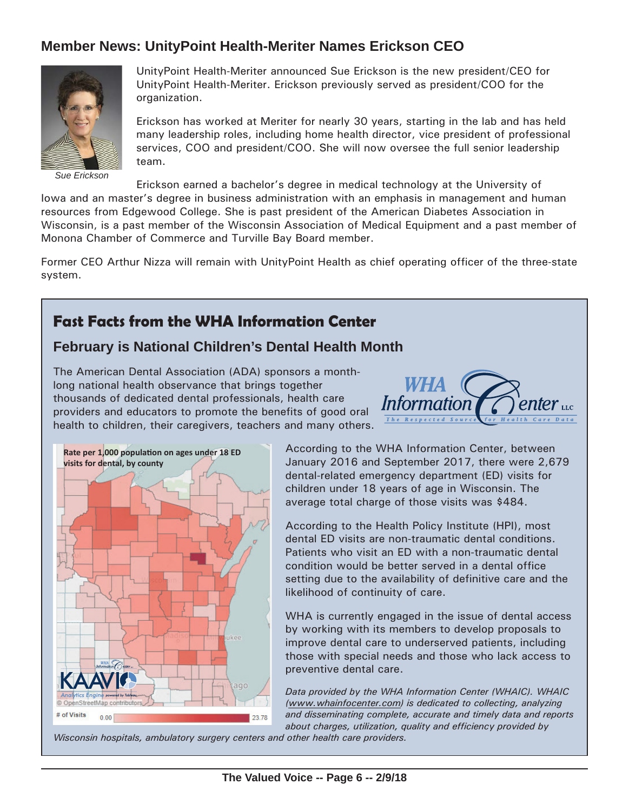## **Member News: UnityPoint Health-Meriter Names Erickson CEO**



*Sue Erickson*

UnityPoint Health-Meriter announced Sue Erickson is the new president/CEO for UnityPoint Health-Meriter. Erickson previously served as president/COO for the organization.

Erickson has worked at Meriter for nearly 30 years, starting in the lab and has held many leadership roles, including home health director, vice president of professional services, COO and president/COO. She will now oversee the full senior leadership team.

Erickson earned a bachelor's degree in medical technology at the University of

Iowa and an master's degree in business administration with an emphasis in management and human resources from Edgewood College. She is past president of the American Diabetes Association in Wisconsin, is a past member of the Wisconsin Association of Medical Equipment and a past member of Monona Chamber of Commerce and Turville Bay Board member.

Former CEO Arthur Nizza will remain with UnityPoint Health as chief operating officer of the three-state system.

## **Fast Facts from the WHA Information Center**

### **February is National Children's Dental Health Month**

The American Dental Association (ADA) sponsors a monthlong national health observance that brings together thousands of dedicated dental professionals, health care providers and educators to promote the benefits of good oral health to children, their caregivers, teachers and many others.





According to the WHA Information Center, between January 2016 and September 2017, there were 2,679 dental-related emergency department (ED) visits for children under 18 years of age in Wisconsin. The average total charge of those visits was \$484.

According to the Health Policy Institute (HPI), most dental ED visits are non-traumatic dental conditions. Patients who visit an ED with a non-traumatic dental condition would be better served in a dental office setting due to the availability of definitive care and the likelihood of continuity of care.

WHA is currently engaged in the issue of dental access by working with its members to develop proposals to improve dental care to underserved patients, including those with special needs and those who lack access to preventive dental care.

*Data provided by the WHA Information Center (WHAIC). WHAIC ([www.whainfocenter.com\)](http://www.whainfocenter.com) is dedicated to collecting, analyzing and disseminating complete, accurate and timely data and reports about charges, utilization, quality and efficiency provided by* 

*Wisconsin hospitals, ambulatory surgery centers and other health care providers.*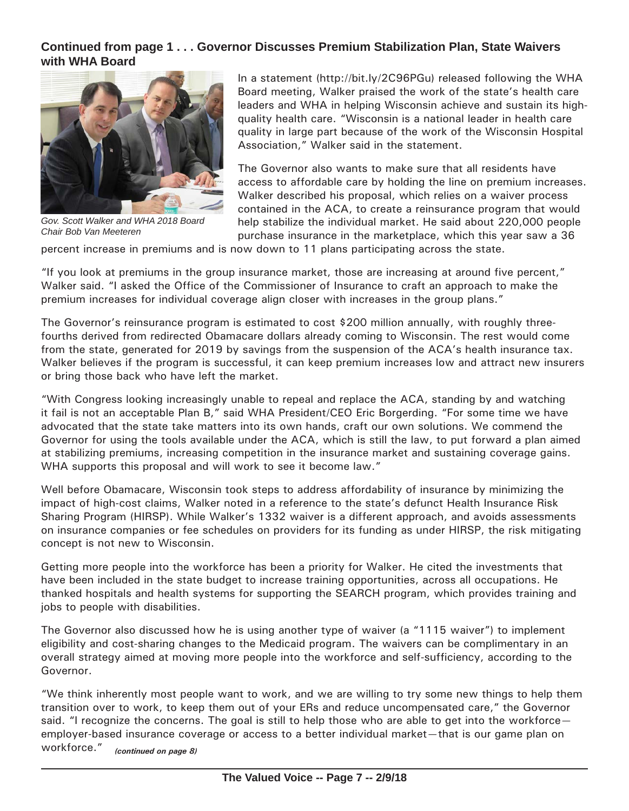#### **Continued from page 1 . . . Governor Discusses Premium Stabilization Plan, State Waivers with WHA Board**



*Gov. Scott Walker and WHA 2018 Board Chair Bob Van Meeteren*

In a statement ([http://bit.ly/2C96PGu\)](http://bit.ly/2C96PGu) released following the WHA Board meeting, Walker praised the work of the state's health care leaders and WHA in helping Wisconsin achieve and sustain its highquality health care. "Wisconsin is a national leader in health care quality in large part because of the work of the Wisconsin Hospital Association," Walker said in the statement.

The Governor also wants to make sure that all residents have access to affordable care by holding the line on premium increases. Walker described his proposal, which relies on a waiver process contained in the ACA, to create a reinsurance program that would help stabilize the individual market. He said about 220,000 people purchase insurance in the marketplace, which this year saw a 36

percent increase in premiums and is now down to 11 plans participating across the state.

"If you look at premiums in the group insurance market, those are increasing at around five percent," Walker said. "I asked the Office of the Commissioner of Insurance to craft an approach to make the premium increases for individual coverage align closer with increases in the group plans."

The Governor's reinsurance program is estimated to cost \$200 million annually, with roughly threefourths derived from redirected Obamacare dollars already coming to Wisconsin. The rest would come from the state, generated for 2019 by savings from the suspension of the ACA's health insurance tax. Walker believes if the program is successful, it can keep premium increases low and attract new insurers or bring those back who have left the market.

"With Congress looking increasingly unable to repeal and replace the ACA, standing by and watching it fail is not an acceptable Plan B," said WHA President/CEO Eric Borgerding. "For some time we have advocated that the state take matters into its own hands, craft our own solutions. We commend the Governor for using the tools available under the ACA, which is still the law, to put forward a plan aimed at stabilizing premiums, increasing competition in the insurance market and sustaining coverage gains. WHA supports this proposal and will work to see it become law."

Well before Obamacare, Wisconsin took steps to address affordability of insurance by minimizing the impact of high-cost claims, Walker noted in a reference to the state's defunct Health Insurance Risk Sharing Program (HIRSP). While Walker's 1332 waiver is a different approach, and avoids assessments on insurance companies or fee schedules on providers for its funding as under HIRSP, the risk mitigating concept is not new to Wisconsin.

Getting more people into the workforce has been a priority for Walker. He cited the investments that have been included in the state budget to increase training opportunities, across all occupations. He thanked hospitals and health systems for supporting the SEARCH program, which provides training and jobs to people with disabilities.

The Governor also discussed how he is using another type of waiver (a "1115 waiver") to implement eligibility and cost-sharing changes to the Medicaid program. The waivers can be complimentary in an overall strategy aimed at moving more people into the workforce and self-sufficiency, according to the Governor.

"We think inherently most people want to work, and we are willing to try some new things to help them transition over to work, to keep them out of your ERs and reduce uncompensated care," the Governor said. "I recognize the concerns. The goal is still to help those who are able to get into the workforce employer-based insurance coverage or access to a better individual market—that is our game plan on workforce." *(continued on page 8)*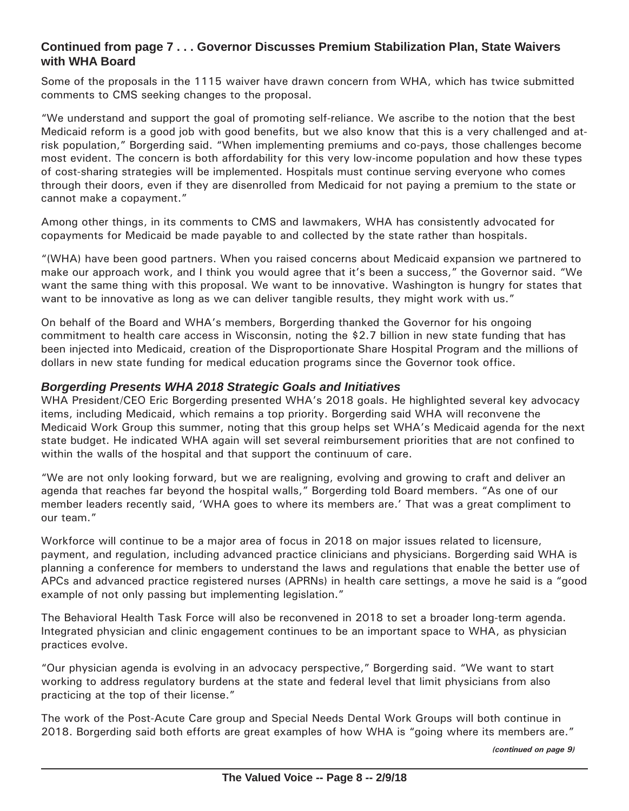#### **Continued from page 7 . . . Governor Discusses Premium Stabilization Plan, State Waivers with WHA Board**

Some of the proposals in the 1115 waiver have drawn concern from WHA, which has twice submitted comments to CMS seeking changes to the proposal.

"We understand and support the goal of promoting self-reliance. We ascribe to the notion that the best Medicaid reform is a good job with good benefits, but we also know that this is a very challenged and atrisk population," Borgerding said. "When implementing premiums and co-pays, those challenges become most evident. The concern is both affordability for this very low-income population and how these types of cost-sharing strategies will be implemented. Hospitals must continue serving everyone who comes through their doors, even if they are disenrolled from Medicaid for not paying a premium to the state or cannot make a copayment."

Among other things, in its comments to CMS and lawmakers, WHA has consistently advocated for copayments for Medicaid be made payable to and collected by the state rather than hospitals.

"(WHA) have been good partners. When you raised concerns about Medicaid expansion we partnered to make our approach work, and I think you would agree that it's been a success," the Governor said. "We want the same thing with this proposal. We want to be innovative. Washington is hungry for states that want to be innovative as long as we can deliver tangible results, they might work with us."

On behalf of the Board and WHA's members, Borgerding thanked the Governor for his ongoing commitment to health care access in Wisconsin, noting the \$2.7 billion in new state funding that has been injected into Medicaid, creation of the Disproportionate Share Hospital Program and the millions of dollars in new state funding for medical education programs since the Governor took office.

#### *Borgerding Presents WHA 2018 Strategic Goals and Initiatives*

WHA President/CEO Eric Borgerding presented WHA's 2018 goals. He highlighted several key advocacy items, including Medicaid, which remains a top priority. Borgerding said WHA will reconvene the Medicaid Work Group this summer, noting that this group helps set WHA's Medicaid agenda for the next state budget. He indicated WHA again will set several reimbursement priorities that are not confined to within the walls of the hospital and that support the continuum of care.

"We are not only looking forward, but we are realigning, evolving and growing to craft and deliver an agenda that reaches far beyond the hospital walls," Borgerding told Board members. "As one of our member leaders recently said, 'WHA goes to where its members are.' That was a great compliment to our team."

Workforce will continue to be a major area of focus in 2018 on major issues related to licensure, payment, and regulation, including advanced practice clinicians and physicians. Borgerding said WHA is planning a conference for members to understand the laws and regulations that enable the better use of APCs and advanced practice registered nurses (APRNs) in health care settings, a move he said is a "good example of not only passing but implementing legislation."

The Behavioral Health Task Force will also be reconvened in 2018 to set a broader long-term agenda. Integrated physician and clinic engagement continues to be an important space to WHA, as physician practices evolve.

"Our physician agenda is evolving in an advocacy perspective," Borgerding said. "We want to start working to address regulatory burdens at the state and federal level that limit physicians from also practicing at the top of their license."

The work of the Post-Acute Care group and Special Needs Dental Work Groups will both continue in 2018. Borgerding said both efforts are great examples of how WHA is "going where its members are."

*(continued on page 9)*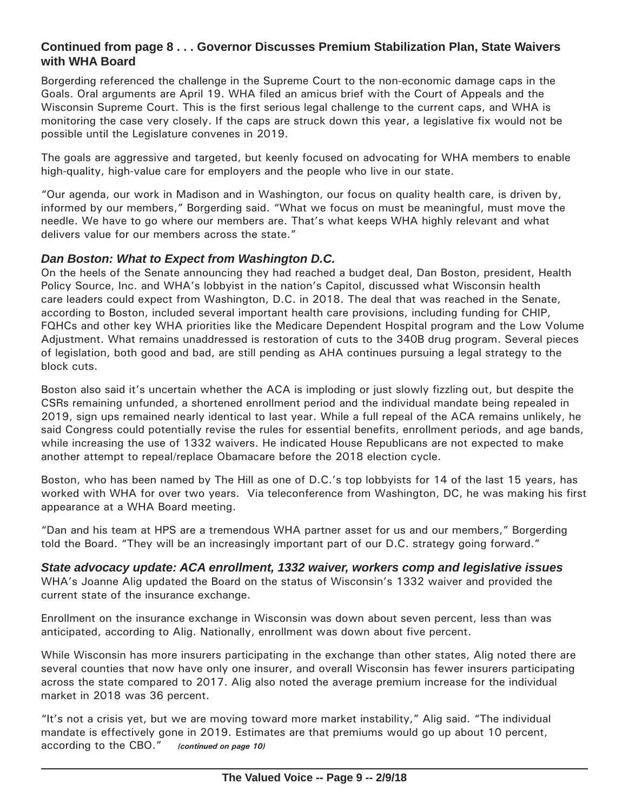#### **Continued from page 8 . . . Governor Discusses Premium Stabilization Plan, State Waivers with WHA Board**

Borgerding referenced the challenge in the Supreme Court to the non-economic damage caps in the Goals. Oral arguments are April 19. WHA filed an amicus brief with the Court of Appeals and the Wisconsin Supreme Court. This is the first serious legal challenge to the current caps, and WHA is monitoring the case very closely. If the caps are struck down this year, a legislative fix would not be possible until the Legislature convenes in 2019.

The goals are aggressive and targeted, but keenly focused on advocating for WHA members to enable high-quality, high-value care for employers and the people who live in our state.

"Our agenda, our work in Madison and in Washington, our focus on quality health care, is driven by, informed by our members," Borgerding said. "What we focus on must be meaningful, must move the needle. We have to go where our members are. That's what keeps WHA highly relevant and what delivers value for our members across the state."

#### *Dan Boston: What to Expect from Washington D.C.*

On the heels of the Senate announcing they had reached a budget deal, Dan Boston, president, Health Policy Source, Inc. and WHA's lobbyist in the nation's Capitol, discussed what Wisconsin health care leaders could expect from Washington, D.C. in 2018. The deal that was reached in the Senate, according to Boston, included several important health care provisions, including funding for CHIP, FQHCs and other key WHA priorities like the Medicare Dependent Hospital program and the Low Volume Adjustment. What remains unaddressed is restoration of cuts to the 340B drug program. Several pieces of legislation, both good and bad, are still pending as AHA continues pursuing a legal strategy to the block cuts.

Boston also said it's uncertain whether the ACA is imploding or just slowly fizzling out, but despite the CSRs remaining unfunded, a shortened enrollment period and the individual mandate being repealed in 2019, sign ups remained nearly identical to last year. While a full repeal of the ACA remains unlikely, he said Congress could potentially revise the rules for essential benefits, enrollment periods, and age bands, while increasing the use of 1332 waivers. He indicated House Republicans are not expected to make another attempt to repeal/replace Obamacare before the 2018 election cycle.

Boston, who has been named by The Hill as one of D.C.'s top lobbyists for 14 of the last 15 years, has worked with WHA for over two years. Via teleconference from Washington, DC, he was making his first appearance at a WHA Board meeting.

"Dan and his team at HPS are a tremendous WHA partner asset for us and our members," Borgerding told the Board. "They will be an increasingly important part of our D.C. strategy going forward."

*State advocacy update: ACA enrollment, 1332 waiver, workers comp and legislative issues* WHA's Joanne Alig updated the Board on the status of Wisconsin's 1332 waiver and provided the current state of the insurance exchange.

Enrollment on the insurance exchange in Wisconsin was down about seven percent, less than was anticipated, according to Alig. Nationally, enrollment was down about five percent.

While Wisconsin has more insurers participating in the exchange than other states, Alig noted there are several counties that now have only one insurer, and overall Wisconsin has fewer insurers participating across the state compared to 2017. Alig also noted the average premium increase for the individual market in 2018 was 36 percent.

"It's not a crisis yet, but we are moving toward more market instability," Alig said. "The individual mandate is effectively gone in 2019. Estimates are that premiums would go up about 10 percent, according to the CBO." *(continued on page 10)*